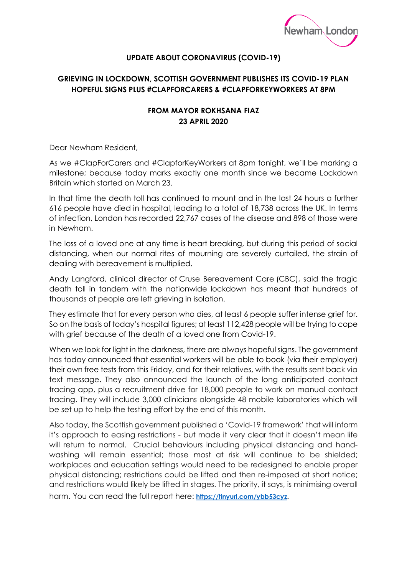

## **UPDATE ABOUT CORONAVIRUS (COVID-19)**

## **GRIEVING IN LOCKDOWN, SCOTTISH GOVERNMENT PUBLISHES ITS COVID-19 PLAN HOPEFUL SIGNS PLUS #CLAPFORCARERS & #CLAPFORKEYWORKERS AT 8PM**

## **FROM MAYOR ROKHSANA FIAZ 23 APRIL 2020**

Dear Newham Resident,

As we #ClapForCarers and #ClapforKeyWorkers at 8pm tonight, we'll be marking a milestone; because today marks exactly one month since we became Lockdown Britain which started on March 23.

In that time the death toll has continued to mount and in the last 24 hours a further 616 people have died in hospital, leading to a total of 18,738 across the UK. In terms of infection, London has recorded 22,767 cases of the disease and 898 of those were in Newham.

The loss of a loved one at any time is heart breaking, but during this period of social distancing, when our normal rites of mourning are severely curtailed, the strain of dealing with bereavement is multiplied.

Andy Langford, clinical director of Cruse Bereavement Care (CBC), said the tragic death toll in tandem with the nationwide lockdown has meant that hundreds of thousands of people are left grieving in isolation.

They estimate that for every person who dies, at least 6 people suffer intense grief for. So on the basis of today's hospital figures; at least 112,428 people will be trying to cope with grief because of the death of a loved one from Covid-19.

When we look for light in the darkness, there are always hopeful signs. The government has today announced that essential workers will be able to book (via their employer) their own free tests from this Friday, and for their relatives, with the results sent back via text message. They also announced the launch of the long anticipated contact tracing app, plus a recruitment drive for 18,000 people to work on manual contact tracing. They will include 3,000 clinicians alongside 48 mobile laboratories which will be set up to help the testing effort by the end of this month.

Also today, the Scottish government published a 'Covid-19 framework' that will inform it's approach to easing restrictions - but made it very clear that it doesn't mean life will return to normal. Crucial behaviours including physical distancing and handwashing will remain essential; those most at risk will continue to be shielded; workplaces and education settings would need to be redesigned to enable proper physical distancing; restrictions could be lifted and then re-imposed at short notice; and restrictions would likely be lifted in stages. The priority, it says, is minimising overall harm. You can read the full report here: https://tinyurl.com/ybb53cyz.